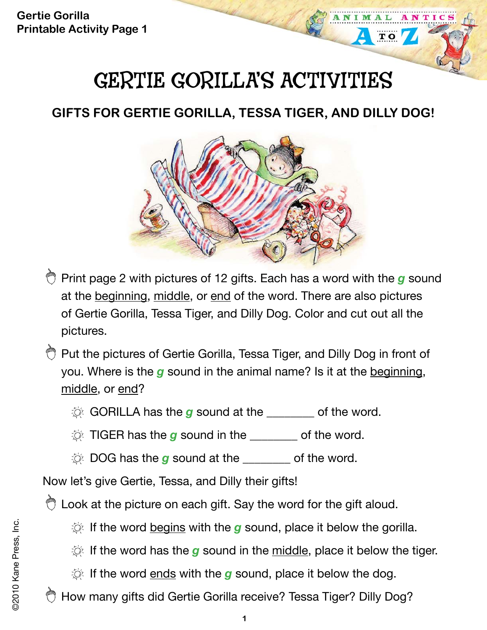**Gertie Gorilla Printable Activity Page 1**

# GERTIE GORILLA'S ACTIVITIES

ANTICS

 $T$  O

## **GIFTS FOR GERTIE GORILLA, TESSA TIGER, AND DILLY DOG!**



- Print page 2 with pictures of 12 gifts. Each has a word with the *g* sound at the beginning, middle, or end of the word. There are also pictures of Gertie Gorilla, Tessa Tiger, and Dilly Dog. Color and cut out all the pictures.
- **Put the pictures of Gertie Gorilla, Tessa Tiger, and Dilly Dog in front of** you. Where is the *g* sound in the animal name? Is it at the beginning, middle, or end?
	- **Q GORILLA has the g** sound at the \_\_\_\_\_\_ of the word.
	- $\Diamond$  TIGER has the *g* sound in the  $\Diamond$
	- $\Diamond$  DOG has the g sound at the \_\_\_\_\_\_\_ of the word.

Now let's give Gertie, Tessa, and Dilly their gifts!

C Look at the picture on each gift. Say the word for the gift aloud.

If the word <u>begins</u> with the **g** sound, place it below the gorilla.

- If the word has the **g** sound in the <u>middle</u>, place it below the tiger.
- If the word ends with the *g* sound, place it below the dog.

How many gifts did Gertie Gorilla receive? Tessa Tiger? Dilly Dog?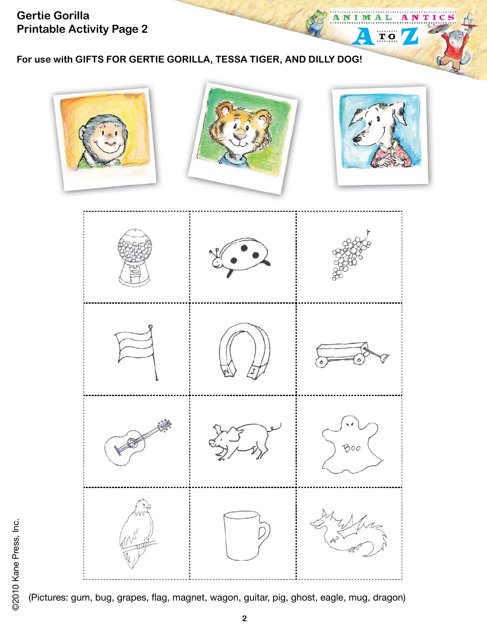**Gertie Gorilla Printable Activity Page 2**

**For use with GIFTS FOR GERTIE GORILLA, TESSA TIGER, AND DILLY DOG!**

т і

C

M

 $\overline{\mathbf{T}}$  O



(Pictures: gum, bug, grapes, flag, magnet, wagon, guitar, pig, ghost, eagle, mug, dragon)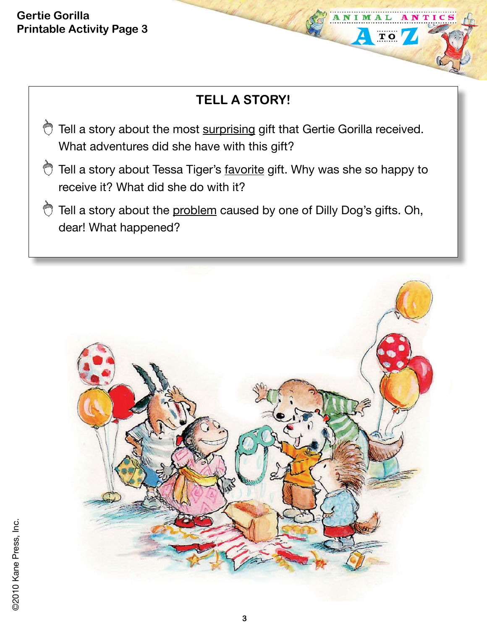#### **Gertie Gorilla Printable Activity Page 3**

### **TELL A STORY!**

NTIC

 $T$  O

- Tell a story about the most surprising gift that Gertie Gorilla received. What adventures did she have with this gift?
- Tell a story about Tessa Tiger's favorite gift. Why was she so happy to receive it? What did she do with it?
- $\bigcirc$  Tell a story about the problem caused by one of Dilly Dog's gifts. Oh, dear! What happened?